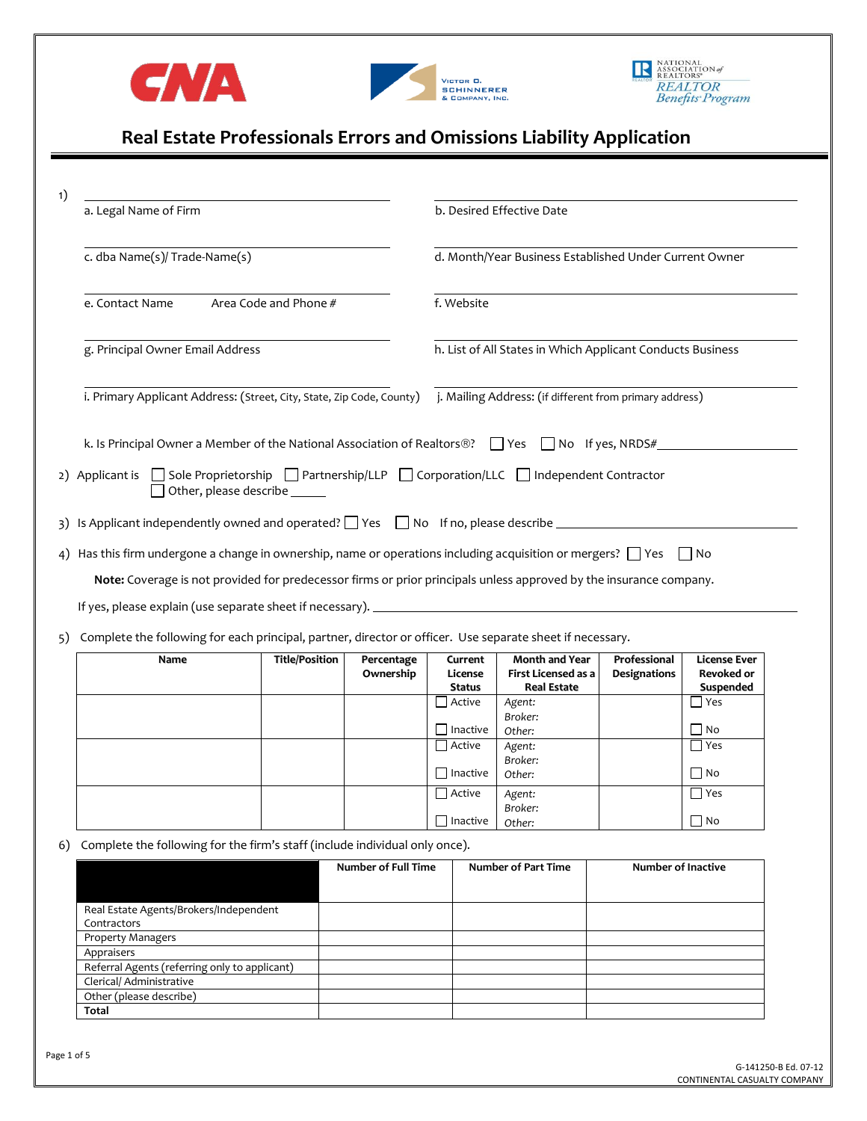





# **Real Estate Professionals Errors and Omissions Liability Application**

| 1) |                                                                                                                             |                                                                                |                                                                          |                                                        |                                                                           |                                     |                                                       |  |
|----|-----------------------------------------------------------------------------------------------------------------------------|--------------------------------------------------------------------------------|--------------------------------------------------------------------------|--------------------------------------------------------|---------------------------------------------------------------------------|-------------------------------------|-------------------------------------------------------|--|
|    | a. Legal Name of Firm                                                                                                       |                                                                                |                                                                          |                                                        | b. Desired Effective Date                                                 |                                     |                                                       |  |
|    | c. dba Name(s)/ Trade-Name(s)                                                                                               |                                                                                |                                                                          | d. Month/Year Business Established Under Current Owner |                                                                           |                                     |                                                       |  |
|    | Area Code and Phone #<br>e. Contact Name                                                                                    |                                                                                | f. Website<br>h. List of All States in Which Applicant Conducts Business |                                                        |                                                                           |                                     |                                                       |  |
|    | g. Principal Owner Email Address                                                                                            |                                                                                |                                                                          |                                                        |                                                                           |                                     |                                                       |  |
|    | i. Primary Applicant Address: (Street, City, State, Zip Code, County)                                                       |                                                                                | j. Mailing Address: (if different from primary address)                  |                                                        |                                                                           |                                     |                                                       |  |
|    | k. Is Principal Owner a Member of the National Association of Realtors®? $\Box$ Yes $\Box$ No If yes, NRDS#                 |                                                                                |                                                                          |                                                        |                                                                           |                                     |                                                       |  |
|    | 2) Applicant is Sole Proprietorship Partnership/LLP Corporation/LLC ndependent Contractor<br>Other, please describe ______  |                                                                                |                                                                          |                                                        |                                                                           |                                     |                                                       |  |
|    | 3) Is Applicant independently owned and operated? The Sample of the Shope Reservice Theorem 2014 Is Applicant               |                                                                                |                                                                          |                                                        |                                                                           |                                     |                                                       |  |
|    | 4) Has this firm undergone a change in ownership, name or operations including acquisition or mergers? $\Box$ Yes $\Box$ No |                                                                                |                                                                          |                                                        |                                                                           |                                     |                                                       |  |
|    | Note: Coverage is not provided for predecessor firms or prior principals unless approved by the insurance company.          |                                                                                |                                                                          |                                                        |                                                                           |                                     |                                                       |  |
|    |                                                                                                                             |                                                                                |                                                                          |                                                        |                                                                           |                                     |                                                       |  |
|    |                                                                                                                             |                                                                                |                                                                          |                                                        |                                                                           |                                     |                                                       |  |
| 5) | Complete the following for each principal, partner, director or officer. Use separate sheet if necessary.                   |                                                                                |                                                                          |                                                        |                                                                           |                                     |                                                       |  |
|    | Name                                                                                                                        | <b>Title/Position</b>                                                          | Percentage<br>Ownership                                                  | Current<br>License<br>Status                           | <b>Month and Year</b><br><b>First Licensed as a</b><br><b>Real Estate</b> | Professional<br><b>Designations</b> | <b>License Ever</b><br><b>Revoked or</b><br>Suspended |  |
|    |                                                                                                                             |                                                                                |                                                                          | Active                                                 | Agent:                                                                    |                                     | $\Box$ Yes                                            |  |
|    |                                                                                                                             |                                                                                |                                                                          | $\Box$ Inactive                                        | Broker:                                                                   |                                     | $\Box$ No                                             |  |
|    |                                                                                                                             |                                                                                |                                                                          | Active                                                 | Other:<br>Agent:                                                          |                                     | $\Box$ Yes                                            |  |
|    |                                                                                                                             |                                                                                |                                                                          |                                                        | Broker:                                                                   |                                     |                                                       |  |
|    |                                                                                                                             |                                                                                |                                                                          | $\Box$ Inactive                                        | Other:                                                                    |                                     | $\Box$ No                                             |  |
|    |                                                                                                                             |                                                                                |                                                                          | $\Box$ Active                                          | Agent:                                                                    |                                     | $\Box$ Yes                                            |  |
|    |                                                                                                                             |                                                                                |                                                                          | $\Box$ Inactive                                        | Broker:<br>Other:                                                         |                                     | $\Box$ No                                             |  |
|    |                                                                                                                             | 6) Complete the following for the firm's staff (include individual only once). |                                                                          |                                                        |                                                                           |                                     |                                                       |  |
|    |                                                                                                                             |                                                                                | <b>Number of Full Time</b>                                               |                                                        | <b>Number of Part Time</b>                                                | <b>Number of Inactive</b>           |                                                       |  |
|    | Real Estate Agents/Brokers/Independent<br>Contractors                                                                       |                                                                                |                                                                          |                                                        |                                                                           |                                     |                                                       |  |
|    | Property Managers                                                                                                           |                                                                                |                                                                          |                                                        |                                                                           |                                     |                                                       |  |
|    |                                                                                                                             |                                                                                |                                                                          |                                                        |                                                                           |                                     |                                                       |  |

**Total**

Referral Agents (referring only to applicant)

Clerical/ Administrative Other (please describe)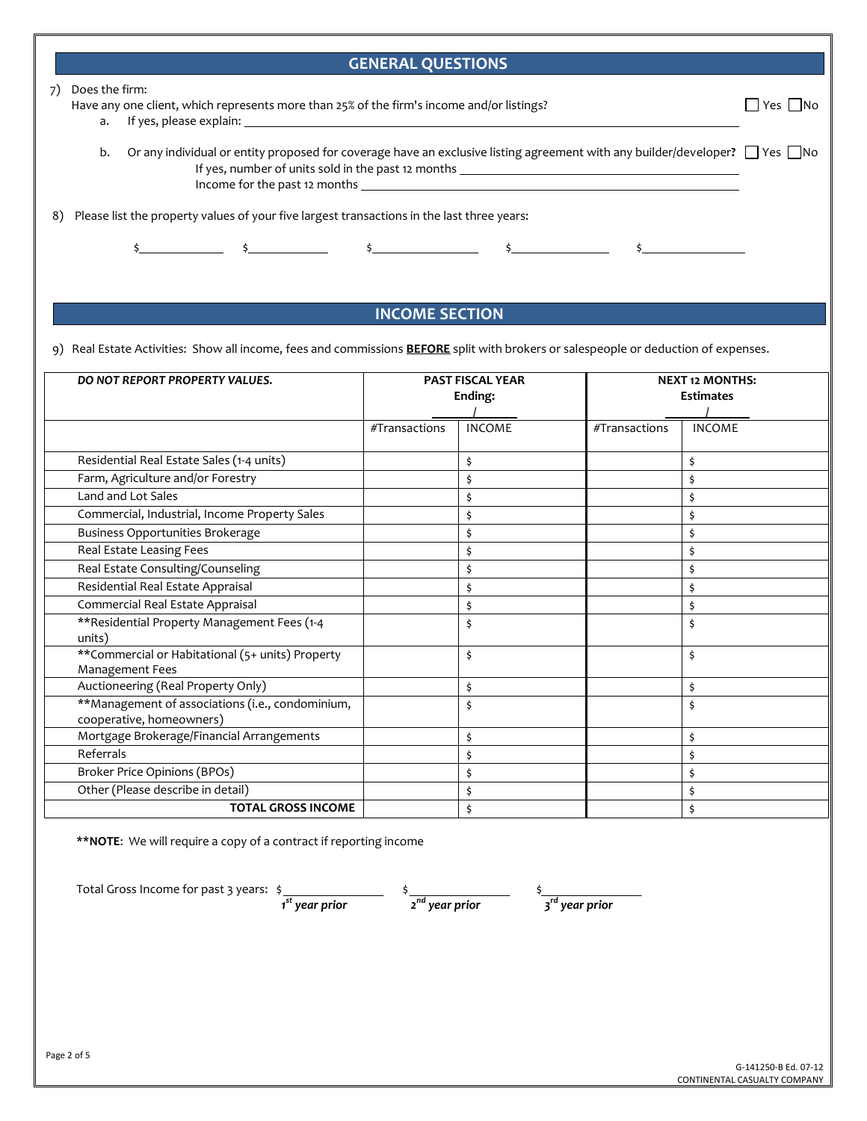## **GENERAL QUESTIONS**

#### 7) Does the firm:

Have any one client, which represents more than 25% of the firm's income and/or listings?  $\Box$  Yes  $\Box$  Yes  $\Box$  No

a. If yes, please explain:

b. Or any individual or entity proposed for coverage have an exclusive listing agreement with any builder/developer?  $\Box$  Yes  $\Box$ No If yes, number of units sold in the past 12 months Income for the past 12 months

8) Please list the property values of your five largest transactions in the last three years:

 $\frac{2}{3}$   $\frac{2}{3}$   $\frac{2}{3}$   $\frac{2}{3}$   $\frac{2}{3}$   $\frac{2}{3}$   $\frac{2}{3}$   $\frac{2}{3}$   $\frac{2}{3}$   $\frac{2}{3}$   $\frac{2}{3}$ 

## **INCOME SECTION**

9) Real Estate Activities: Show all income, fees and commissions **BEFORE** split with brokers or salespeople or deduction of expenses.

| DO NOT REPORT PROPERTY VALUES.                                               | <b>PAST FISCAL YEAR</b><br>Ending: |               |               | <b>NEXT 12 MONTHS:</b><br><b>Estimates</b> |  |
|------------------------------------------------------------------------------|------------------------------------|---------------|---------------|--------------------------------------------|--|
|                                                                              | #Transactions                      | <b>INCOME</b> | #Transactions | <b>INCOME</b>                              |  |
| Residential Real Estate Sales (1-4 units)                                    |                                    | \$            |               | \$                                         |  |
| Farm, Agriculture and/or Forestry                                            |                                    | \$            |               | \$                                         |  |
| Land and Lot Sales                                                           |                                    | \$            |               | \$                                         |  |
| Commercial, Industrial, Income Property Sales                                |                                    | \$            |               | \$                                         |  |
| <b>Business Opportunities Brokerage</b>                                      |                                    | \$            |               |                                            |  |
| Real Estate Leasing Fees                                                     |                                    | \$            |               | \$                                         |  |
| Real Estate Consulting/Counseling                                            |                                    | \$            |               | Ś                                          |  |
| Residential Real Estate Appraisal                                            |                                    | \$            |               | \$                                         |  |
| Commercial Real Estate Appraisal                                             |                                    | \$            |               | Ś                                          |  |
| **Residential Property Management Fees (1-4<br>units)                        |                                    | \$            |               | \$                                         |  |
| ** Commercial or Habitational (5+ units) Property<br><b>Management Fees</b>  |                                    | \$            |               | \$                                         |  |
| Auctioneering (Real Property Only)                                           |                                    | \$            |               | \$                                         |  |
| **Management of associations (i.e., condominium,<br>cooperative, homeowners) |                                    | \$            |               | \$                                         |  |
| Mortgage Brokerage/Financial Arrangements                                    |                                    | \$            |               | \$                                         |  |
| Referrals                                                                    |                                    | \$            |               | \$                                         |  |
| Broker Price Opinions (BPOs)                                                 |                                    | \$            |               | Ś                                          |  |
| Other (Please describe in detail)                                            |                                    | \$            |               |                                            |  |
| <b>TOTAL GROSS INCOME</b>                                                    |                                    |               |               |                                            |  |

**\*\*NOTE**: We will require a copy of a contract if reporting income

Total Gross Income for past 3 years: \$

 *1 st year prior* 

 *2 nd year prior*

\$

 *3 rd year prior*

\$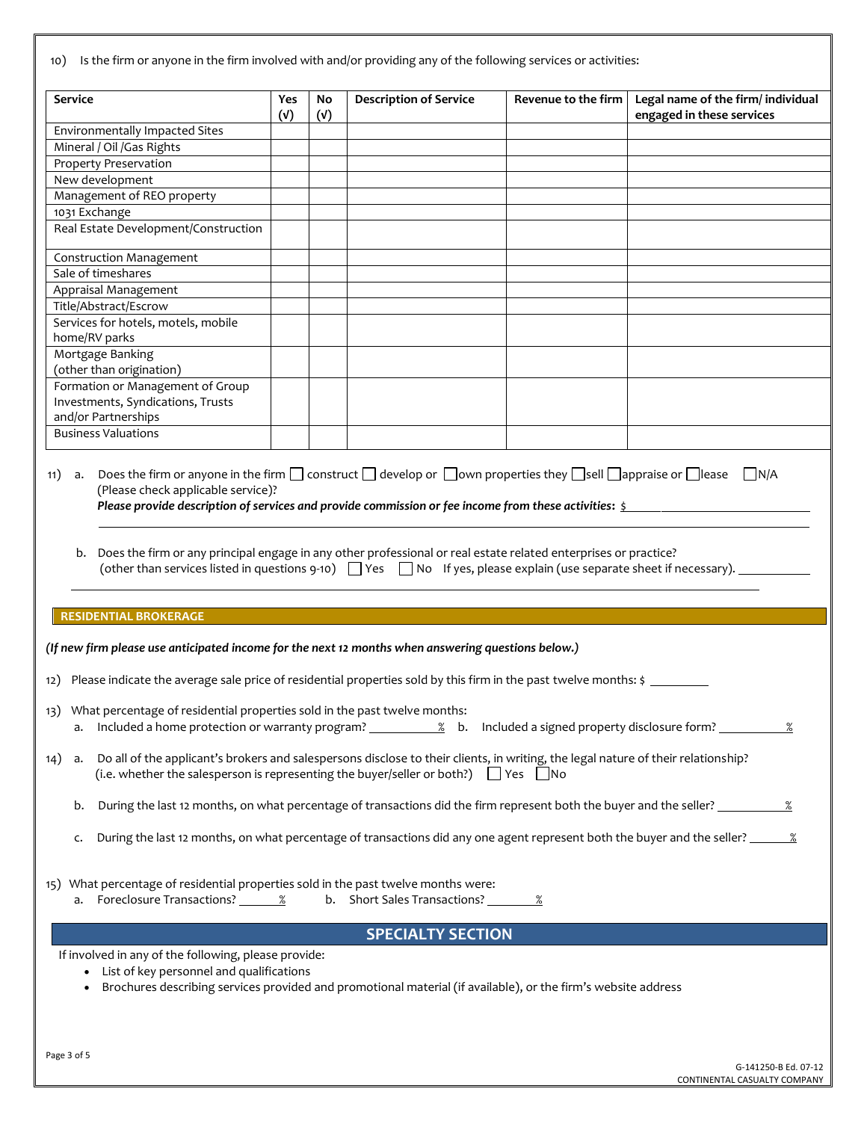10) Is the firm or anyone in the firm involved with and/or providing any of the following services or activities:

| <b>Service</b>                                                                                                                                                                                                                                  | Yes<br>(V)                                                                                                                           | No<br>(V) | <b>Description of Service</b> | Revenue to the firm | Legal name of the firm/ individual<br>engaged in these services |  |  |
|-------------------------------------------------------------------------------------------------------------------------------------------------------------------------------------------------------------------------------------------------|--------------------------------------------------------------------------------------------------------------------------------------|-----------|-------------------------------|---------------------|-----------------------------------------------------------------|--|--|
| Environmentally Impacted Sites                                                                                                                                                                                                                  |                                                                                                                                      |           |                               |                     |                                                                 |  |  |
| Mineral / Oil / Gas Rights                                                                                                                                                                                                                      |                                                                                                                                      |           |                               |                     |                                                                 |  |  |
| Property Preservation                                                                                                                                                                                                                           |                                                                                                                                      |           |                               |                     |                                                                 |  |  |
| New development                                                                                                                                                                                                                                 |                                                                                                                                      |           |                               |                     |                                                                 |  |  |
| Management of REO property                                                                                                                                                                                                                      |                                                                                                                                      |           |                               |                     |                                                                 |  |  |
| 1031 Exchange                                                                                                                                                                                                                                   |                                                                                                                                      |           |                               |                     |                                                                 |  |  |
|                                                                                                                                                                                                                                                 | Real Estate Development/Construction                                                                                                 |           |                               |                     |                                                                 |  |  |
| <b>Construction Management</b>                                                                                                                                                                                                                  |                                                                                                                                      |           |                               |                     |                                                                 |  |  |
| Sale of timeshares                                                                                                                                                                                                                              |                                                                                                                                      |           |                               |                     |                                                                 |  |  |
| Appraisal Management                                                                                                                                                                                                                            |                                                                                                                                      |           |                               |                     |                                                                 |  |  |
| Title/Abstract/Escrow                                                                                                                                                                                                                           |                                                                                                                                      |           |                               |                     |                                                                 |  |  |
| Services for hotels, motels, mobile                                                                                                                                                                                                             |                                                                                                                                      |           |                               |                     |                                                                 |  |  |
| home/RV parks                                                                                                                                                                                                                                   |                                                                                                                                      |           |                               |                     |                                                                 |  |  |
| Mortgage Banking<br>(other than origination)                                                                                                                                                                                                    |                                                                                                                                      |           |                               |                     |                                                                 |  |  |
| Formation or Management of Group                                                                                                                                                                                                                |                                                                                                                                      |           |                               |                     |                                                                 |  |  |
| Investments, Syndications, Trusts                                                                                                                                                                                                               |                                                                                                                                      |           |                               |                     |                                                                 |  |  |
| and/or Partnerships                                                                                                                                                                                                                             |                                                                                                                                      |           |                               |                     |                                                                 |  |  |
| <b>Business Valuations</b>                                                                                                                                                                                                                      |                                                                                                                                      |           |                               |                     |                                                                 |  |  |
|                                                                                                                                                                                                                                                 | (other than services listed in questions 9-10) $\Box$ Yes $\Box$ No If yes, please explain (use separate sheet if necessary). $\Box$ |           |                               |                     |                                                                 |  |  |
| <b>RESIDENTIAL BROKERAGE</b>                                                                                                                                                                                                                    |                                                                                                                                      |           |                               |                     |                                                                 |  |  |
| (If new firm please use anticipated income for the next 12 months when answering questions below.)                                                                                                                                              |                                                                                                                                      |           |                               |                     |                                                                 |  |  |
| 12) Please indicate the average sale price of residential properties sold by this firm in the past twelve months: \$                                                                                                                            |                                                                                                                                      |           |                               |                     |                                                                 |  |  |
| 13) What percentage of residential properties sold in the past twelve months:<br>a. Included a home protection or warranty program? $\frac{8}{2}$ b. Included a signed property disclosure form?                                                |                                                                                                                                      |           |                               |                     |                                                                 |  |  |
| Do all of the applicant's brokers and salespersons disclose to their clients, in writing, the legal nature of their relationship?<br>14)<br>a.<br>(i.e. whether the salesperson is representing the buyer/seller or both?) $\Box$ Yes $\Box$ No |                                                                                                                                      |           |                               |                     |                                                                 |  |  |
| b.                                                                                                                                                                                                                                              | During the last 12 months, on what percentage of transactions did the firm represent both the buyer and the seller?                  |           |                               |                     |                                                                 |  |  |
| During the last 12 months, on what percentage of transactions did any one agent represent both the buyer and the seller? ______________<br>c.                                                                                                   |                                                                                                                                      |           |                               |                     |                                                                 |  |  |
| 15) What percentage of residential properties sold in the past twelve months were:<br>a. Foreclosure Transactions? 6.1998                                                                                                                       |                                                                                                                                      |           |                               |                     |                                                                 |  |  |
|                                                                                                                                                                                                                                                 |                                                                                                                                      |           | <b>SPECIALTY SECTION</b>      |                     |                                                                 |  |  |
| If involved in any of the following, please provide:                                                                                                                                                                                            |                                                                                                                                      |           |                               |                     |                                                                 |  |  |
| • List of key personnel and qualifications<br>Brochures describing services provided and promotional material (if available), or the firm's website address                                                                                     |                                                                                                                                      |           |                               |                     |                                                                 |  |  |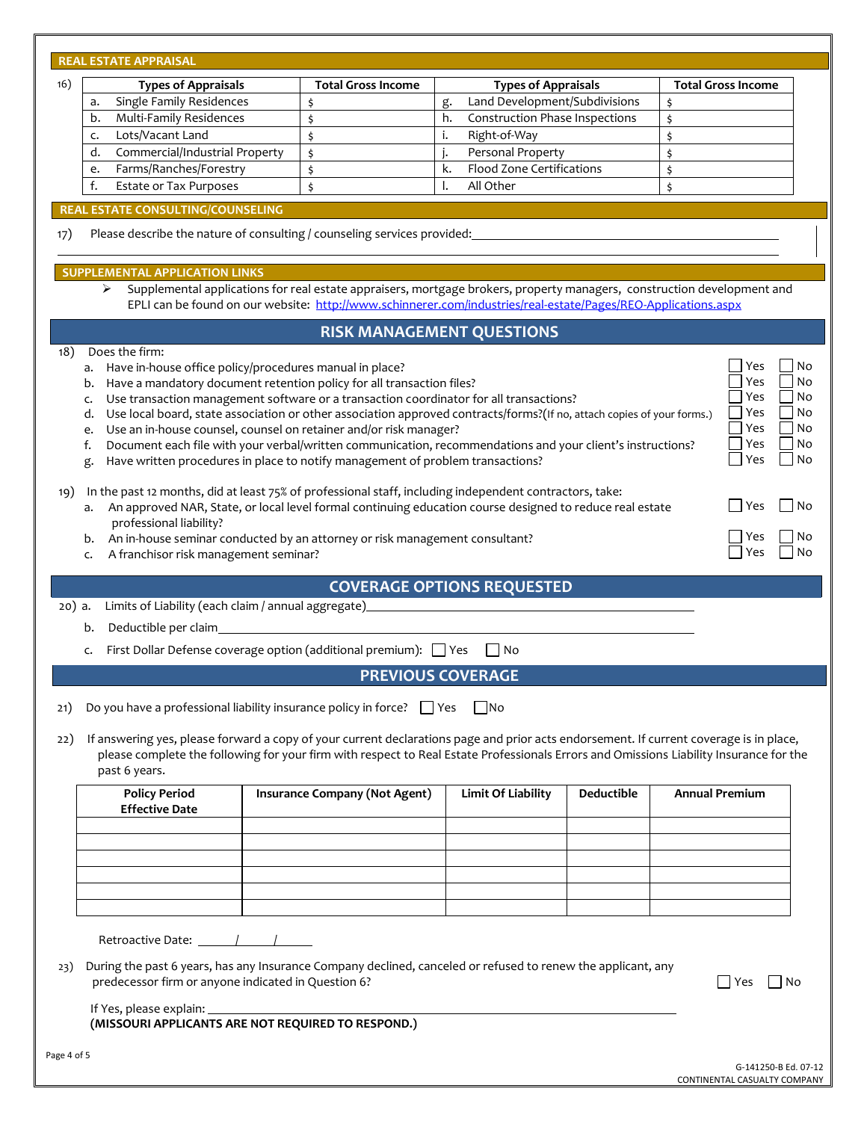|        | <b>REAL ESTATE APPRAISAL</b>                                                                                                                                                                                                                                                                                                                                                                                                                                                                                                                                                                                                                                                                                                                                                                                                                                                                                                                                                                                                                                                                                                                                                                  |                                                                                         |                                                                                                                                                                                                                                           |                           |  |  |  |  |  |
|--------|-----------------------------------------------------------------------------------------------------------------------------------------------------------------------------------------------------------------------------------------------------------------------------------------------------------------------------------------------------------------------------------------------------------------------------------------------------------------------------------------------------------------------------------------------------------------------------------------------------------------------------------------------------------------------------------------------------------------------------------------------------------------------------------------------------------------------------------------------------------------------------------------------------------------------------------------------------------------------------------------------------------------------------------------------------------------------------------------------------------------------------------------------------------------------------------------------|-----------------------------------------------------------------------------------------|-------------------------------------------------------------------------------------------------------------------------------------------------------------------------------------------------------------------------------------------|---------------------------|--|--|--|--|--|
| 16)    | <b>Types of Appraisals</b>                                                                                                                                                                                                                                                                                                                                                                                                                                                                                                                                                                                                                                                                                                                                                                                                                                                                                                                                                                                                                                                                                                                                                                    | <b>Total Gross Income</b>                                                               | <b>Types of Appraisals</b>                                                                                                                                                                                                                | <b>Total Gross Income</b> |  |  |  |  |  |
|        | Single Family Residences<br>a.                                                                                                                                                                                                                                                                                                                                                                                                                                                                                                                                                                                                                                                                                                                                                                                                                                                                                                                                                                                                                                                                                                                                                                | \$                                                                                      | Land Development/Subdivisions<br>g.                                                                                                                                                                                                       | \$                        |  |  |  |  |  |
|        | Multi-Family Residences<br>b.                                                                                                                                                                                                                                                                                                                                                                                                                                                                                                                                                                                                                                                                                                                                                                                                                                                                                                                                                                                                                                                                                                                                                                 | \$                                                                                      | <b>Construction Phase Inspections</b><br>h.                                                                                                                                                                                               | \$                        |  |  |  |  |  |
|        | Lots/Vacant Land<br>c.                                                                                                                                                                                                                                                                                                                                                                                                                                                                                                                                                                                                                                                                                                                                                                                                                                                                                                                                                                                                                                                                                                                                                                        | \$                                                                                      | i.<br>Right-of-Way                                                                                                                                                                                                                        | \$                        |  |  |  |  |  |
|        | Commercial/Industrial Property<br>d.                                                                                                                                                                                                                                                                                                                                                                                                                                                                                                                                                                                                                                                                                                                                                                                                                                                                                                                                                                                                                                                                                                                                                          | \$                                                                                      | Personal Property<br>j.                                                                                                                                                                                                                   | \$                        |  |  |  |  |  |
|        | Farms/Ranches/Forestry<br>e.                                                                                                                                                                                                                                                                                                                                                                                                                                                                                                                                                                                                                                                                                                                                                                                                                                                                                                                                                                                                                                                                                                                                                                  | \$                                                                                      | Flood Zone Certifications<br>k.                                                                                                                                                                                                           | \$                        |  |  |  |  |  |
|        | f.<br><b>Estate or Tax Purposes</b>                                                                                                                                                                                                                                                                                                                                                                                                                                                                                                                                                                                                                                                                                                                                                                                                                                                                                                                                                                                                                                                                                                                                                           | \$                                                                                      | All Other<br>l.                                                                                                                                                                                                                           | \$                        |  |  |  |  |  |
|        |                                                                                                                                                                                                                                                                                                                                                                                                                                                                                                                                                                                                                                                                                                                                                                                                                                                                                                                                                                                                                                                                                                                                                                                               |                                                                                         |                                                                                                                                                                                                                                           |                           |  |  |  |  |  |
| 17)    | <b>REAL ESTATE CONSULTING/COUNSELING</b>                                                                                                                                                                                                                                                                                                                                                                                                                                                                                                                                                                                                                                                                                                                                                                                                                                                                                                                                                                                                                                                                                                                                                      | Please describe the nature of consulting / counseling services provided: ______________ |                                                                                                                                                                                                                                           |                           |  |  |  |  |  |
|        | <b>SUPPLEMENTAL APPLICATION LINKS</b><br>➤                                                                                                                                                                                                                                                                                                                                                                                                                                                                                                                                                                                                                                                                                                                                                                                                                                                                                                                                                                                                                                                                                                                                                    |                                                                                         | Supplemental applications for real estate appraisers, mortgage brokers, property managers, construction development and<br>EPLI can be found on our website: http://www.schinnerer.com/industries/real-estate/Pages/REO-Applications.aspx |                           |  |  |  |  |  |
|        |                                                                                                                                                                                                                                                                                                                                                                                                                                                                                                                                                                                                                                                                                                                                                                                                                                                                                                                                                                                                                                                                                                                                                                                               |                                                                                         | <b>RISK MANAGEMENT QUESTIONS</b>                                                                                                                                                                                                          |                           |  |  |  |  |  |
| 19)    | No<br>Yes<br>Have in-house office policy/procedures manual in place?<br>a.<br>No<br>Yes<br>Have a mandatory document retention policy for all transaction files?<br>b.<br>No<br>Yes<br>Use transaction management software or a transaction coordinator for all transactions?<br>c.<br>Yes<br>No<br>Use local board, state association or other association approved contracts/forms?(If no, attach copies of your forms.)<br>d.<br>Yes<br>No<br>Use an in-house counsel, counsel on retainer and/or risk manager?<br>e.<br>Yes<br>No<br>Document each file with your verbal/written communication, recommendations and your client's instructions?<br>f.<br>Yes<br>No<br>Have written procedures in place to notify management of problem transactions?<br>g.<br>In the past 12 months, did at least 75% of professional staff, including independent contractors, take:<br>l No<br>An approved NAR, State, or local level formal continuing education course designed to reduce real estate<br>Yes<br>a.<br>professional liability?<br>Yes<br>An in-house seminar conducted by an attorney or risk management consultant?<br>b.<br>Yes<br>No<br>A franchisor risk management seminar?<br>c. |                                                                                         |                                                                                                                                                                                                                                           |                           |  |  |  |  |  |
| 20) a. | Limits of Liability (each claim / annual aggregate)                                                                                                                                                                                                                                                                                                                                                                                                                                                                                                                                                                                                                                                                                                                                                                                                                                                                                                                                                                                                                                                                                                                                           |                                                                                         | <b>COVERAGE OPTIONS REQUESTED</b><br><u> 1980 - Johann Barbara, martxa amerikan personal (</u>                                                                                                                                            |                           |  |  |  |  |  |
|        | Deductible per claim_<br>b.<br>First Dollar Defense coverage option (additional premium): $\Box$ Yes<br>l No<br>c.                                                                                                                                                                                                                                                                                                                                                                                                                                                                                                                                                                                                                                                                                                                                                                                                                                                                                                                                                                                                                                                                            |                                                                                         |                                                                                                                                                                                                                                           |                           |  |  |  |  |  |
|        | <b>PREVIOUS COVERAGE</b>                                                                                                                                                                                                                                                                                                                                                                                                                                                                                                                                                                                                                                                                                                                                                                                                                                                                                                                                                                                                                                                                                                                                                                      |                                                                                         |                                                                                                                                                                                                                                           |                           |  |  |  |  |  |
| 21)    |                                                                                                                                                                                                                                                                                                                                                                                                                                                                                                                                                                                                                                                                                                                                                                                                                                                                                                                                                                                                                                                                                                                                                                                               | Do you have a professional liability insurance policy in force? $\Box$ Yes $\Box$ No    |                                                                                                                                                                                                                                           |                           |  |  |  |  |  |
| 22)    | If answering yes, please forward a copy of your current declarations page and prior acts endorsement. If current coverage is in place,<br>please complete the following for your firm with respect to Real Estate Professionals Errors and Omissions Liability Insurance for the<br>past 6 years.                                                                                                                                                                                                                                                                                                                                                                                                                                                                                                                                                                                                                                                                                                                                                                                                                                                                                             |                                                                                         |                                                                                                                                                                                                                                           |                           |  |  |  |  |  |
|        | <b>Policy Period</b><br><b>Effective Date</b>                                                                                                                                                                                                                                                                                                                                                                                                                                                                                                                                                                                                                                                                                                                                                                                                                                                                                                                                                                                                                                                                                                                                                 | <b>Insurance Company (Not Agent)</b>                                                    | <b>Limit Of Liability</b><br><b>Deductible</b>                                                                                                                                                                                            | <b>Annual Premium</b>     |  |  |  |  |  |
|        |                                                                                                                                                                                                                                                                                                                                                                                                                                                                                                                                                                                                                                                                                                                                                                                                                                                                                                                                                                                                                                                                                                                                                                                               |                                                                                         |                                                                                                                                                                                                                                           |                           |  |  |  |  |  |
|        |                                                                                                                                                                                                                                                                                                                                                                                                                                                                                                                                                                                                                                                                                                                                                                                                                                                                                                                                                                                                                                                                                                                                                                                               |                                                                                         |                                                                                                                                                                                                                                           |                           |  |  |  |  |  |
| 23)    | During the past 6 years, has any Insurance Company declined, canceled or refused to renew the applicant, any<br>predecessor firm or anyone indicated in Question 6?<br>$\sqsupset$ Yes<br>l No                                                                                                                                                                                                                                                                                                                                                                                                                                                                                                                                                                                                                                                                                                                                                                                                                                                                                                                                                                                                |                                                                                         |                                                                                                                                                                                                                                           |                           |  |  |  |  |  |